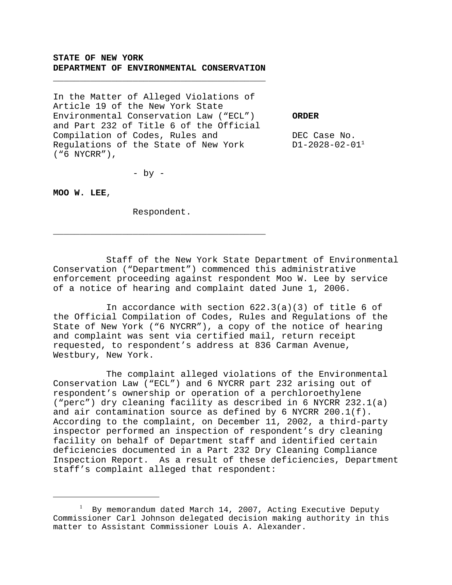## **STATE OF NEW YORK DEPARTMENT OF ENVIRONMENTAL CONSERVATION**

\_\_\_\_\_\_\_\_\_\_\_\_\_\_\_\_\_\_\_\_\_\_\_\_\_\_\_\_\_\_\_\_\_\_\_\_\_\_\_\_

In the Matter of Alleged Violations of Article 19 of the New York State Environmental Conservation Law ("ECL") **ORDER** and Part 232 of Title 6 of the Official Compilation of Codes, Rules and  $DEC$  Case No. Regulations of the State of New York D1-2028-02-01<sup>1</sup> ("6 NYCRR"),

 $-$  by  $-$ 

**MOO W. LEE**,

Respondent.

\_\_\_\_\_\_\_\_\_\_\_\_\_\_\_\_\_\_\_\_\_\_\_\_\_\_\_\_\_\_\_\_\_\_\_\_\_\_\_\_

Staff of the New York State Department of Environmental Conservation ("Department") commenced this administrative enforcement proceeding against respondent Moo W. Lee by service of a notice of hearing and complaint dated June 1, 2006.

In accordance with section  $622.3(a)(3)$  of title 6 of the Official Compilation of Codes, Rules and Regulations of the State of New York ("6 NYCRR"), a copy of the notice of hearing and complaint was sent via certified mail, return receipt requested, to respondent's address at 836 Carman Avenue, Westbury, New York.

The complaint alleged violations of the Environmental Conservation Law ("ECL") and 6 NYCRR part 232 arising out of respondent's ownership or operation of a perchloroethylene ("perc") dry cleaning facility as described in 6 NYCRR 232.1(a) and air contamination source as defined by 6 NYCRR 200.1(f). According to the complaint, on December 11, 2002, a third-party inspector performed an inspection of respondent's dry cleaning facility on behalf of Department staff and identified certain deficiencies documented in a Part 232 Dry Cleaning Compliance Inspection Report. As a result of these deficiencies, Department staff's complaint alleged that respondent:

 $^{\rm 1}$  By memorandum dated March 14, 2007, Acting Executive Deputy Commissioner Carl Johnson delegated decision making authority in this matter to Assistant Commissioner Louis A. Alexander.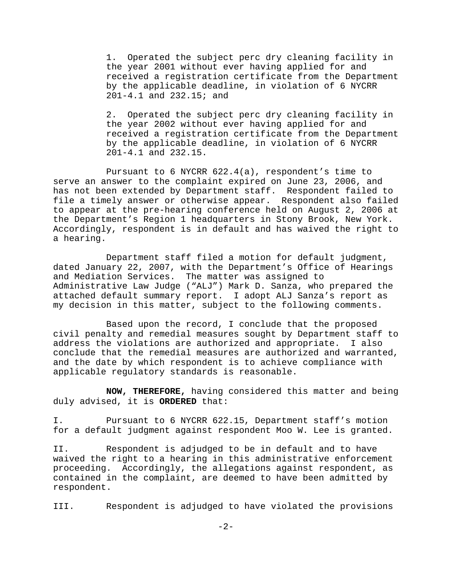1. Operated the subject perc dry cleaning facility in the year 2001 without ever having applied for and received a registration certificate from the Department by the applicable deadline, in violation of 6 NYCRR 201-4.1 and 232.15; and

2. Operated the subject perc dry cleaning facility in the year 2002 without ever having applied for and received a registration certificate from the Department by the applicable deadline, in violation of 6 NYCRR 201-4.1 and 232.15.

Pursuant to 6 NYCRR 622.4(a), respondent's time to serve an answer to the complaint expired on June 23, 2006, and has not been extended by Department staff. Respondent failed to file a timely answer or otherwise appear. Respondent also failed to appear at the pre-hearing conference held on August 2, 2006 at the Department's Region 1 headquarters in Stony Brook, New York. Accordingly, respondent is in default and has waived the right to a hearing.

Department staff filed a motion for default judgment, dated January 22, 2007, with the Department's Office of Hearings and Mediation Services. The matter was assigned to Administrative Law Judge ("ALJ") Mark D. Sanza, who prepared the attached default summary report. I adopt ALJ Sanza's report as my decision in this matter, subject to the following comments.

Based upon the record, I conclude that the proposed civil penalty and remedial measures sought by Department staff to address the violations are authorized and appropriate. I also conclude that the remedial measures are authorized and warranted, and the date by which respondent is to achieve compliance with applicable regulatory standards is reasonable.

**NOW, THEREFORE,** having considered this matter and being duly advised, it is **ORDERED** that:

I. Pursuant to 6 NYCRR 622.15, Department staff's motion for a default judgment against respondent Moo W. Lee is granted.

II. Respondent is adjudged to be in default and to have waived the right to a hearing in this administrative enforcement proceeding. Accordingly, the allegations against respondent, as contained in the complaint, are deemed to have been admitted by respondent.

III. Respondent is adjudged to have violated the provisions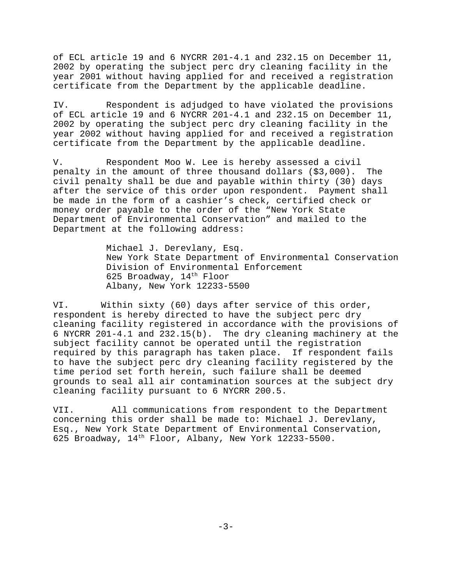of ECL article 19 and 6 NYCRR 201-4.1 and 232.15 on December 11, 2002 by operating the subject perc dry cleaning facility in the year 2001 without having applied for and received a registration certificate from the Department by the applicable deadline.

IV. Respondent is adjudged to have violated the provisions of ECL article 19 and 6 NYCRR 201-4.1 and 232.15 on December 11, 2002 by operating the subject perc dry cleaning facility in the year 2002 without having applied for and received a registration certificate from the Department by the applicable deadline.

V. Respondent Moo W. Lee is hereby assessed a civil penalty in the amount of three thousand dollars (\$3,000). The civil penalty shall be due and payable within thirty (30) days after the service of this order upon respondent. Payment shall be made in the form of a cashier's check, certified check or money order payable to the order of the "New York State Department of Environmental Conservation" and mailed to the Department at the following address:

> Michael J. Derevlany, Esq. New York State Department of Environmental Conservation Division of Environmental Enforcement 625 Broadway, 14<sup>th</sup> Floor Albany, New York 12233-5500

VI. Within sixty (60) days after service of this order, respondent is hereby directed to have the subject perc dry cleaning facility registered in accordance with the provisions of 6 NYCRR 201-4.1 and 232.15(b). The dry cleaning machinery at the subject facility cannot be operated until the registration required by this paragraph has taken place. If respondent fails to have the subject perc dry cleaning facility registered by the time period set forth herein, such failure shall be deemed grounds to seal all air contamination sources at the subject dry cleaning facility pursuant to 6 NYCRR 200.5.

VII. All communications from respondent to the Department concerning this order shall be made to: Michael J. Derevlany, Esq., New York State Department of Environmental Conservation, 625 Broadway,  $14<sup>th</sup>$  Floor, Albany, New York 12233-5500.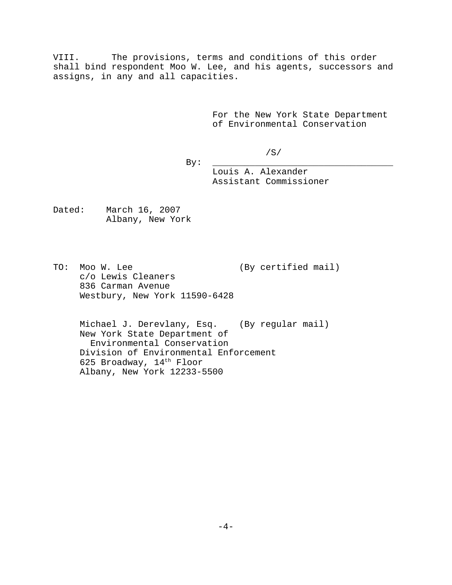VIII. The provisions, terms and conditions of this order shall bind respondent Moo W. Lee, and his agents, successors and assigns, in any and all capacities.

> For the New York State Department of Environmental Conservation

> > /S/

By: \_\_\_\_\_\_\_\_\_\_\_\_\_\_\_\_\_\_\_\_\_\_\_\_\_\_\_\_\_\_\_\_\_\_

Louis A. Alexander Assistant Commissioner

Dated: March 16, 2007 Albany, New York

TO: Moo W. Lee (By certified mail) c/o Lewis Cleaners 836 Carman Avenue Westbury, New York 11590-6428

Michael J. Derevlany, Esq. (By regular mail) New York State Department of Environmental Conservation Division of Environmental Enforcement 625 Broadway, 14<sup>th</sup> Floor Albany, New York 12233-5500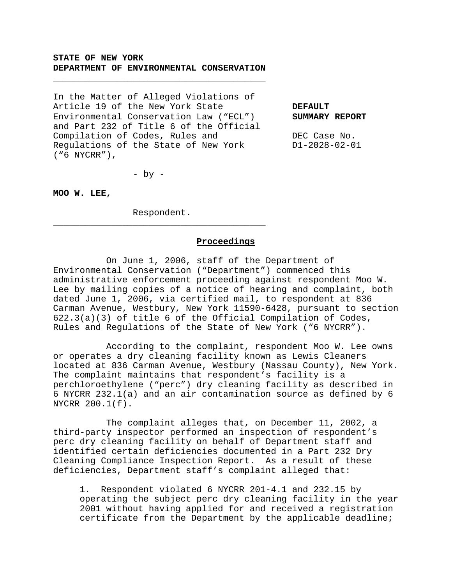## **STATE OF NEW YORK DEPARTMENT OF ENVIRONMENTAL CONSERVATION**

\_\_\_\_\_\_\_\_\_\_\_\_\_\_\_\_\_\_\_\_\_\_\_\_\_\_\_\_\_\_\_\_\_\_\_\_\_\_\_\_

In the Matter of Alleged Violations of Article 19 of the New York State **DEFAULT** Environmental Conservation Law ("ECL") **SUMMARY REPORT** and Part 232 of Title 6 of the Official Compilation of Codes, Rules and DEC Case No. Regulations of the State of New York D1-2028-02-01 ("6 NYCRR"),

 $-$  by  $-$ 

**MOO W. LEE,**

Respondent. \_\_\_\_\_\_\_\_\_\_\_\_\_\_\_\_\_\_\_\_\_\_\_\_\_\_\_\_\_\_\_\_\_\_\_\_\_\_\_\_

#### **Proceedings**

On June 1, 2006, staff of the Department of Environmental Conservation ("Department") commenced this administrative enforcement proceeding against respondent Moo W. Lee by mailing copies of a notice of hearing and complaint, both dated June 1, 2006, via certified mail, to respondent at 836 Carman Avenue, Westbury, New York 11590-6428, pursuant to section 622.3(a)(3) of title 6 of the Official Compilation of Codes, Rules and Regulations of the State of New York ("6 NYCRR").

According to the complaint, respondent Moo W. Lee owns or operates a dry cleaning facility known as Lewis Cleaners located at 836 Carman Avenue, Westbury (Nassau County), New York. The complaint maintains that respondent's facility is a perchloroethylene ("perc") dry cleaning facility as described in 6 NYCRR 232.1(a) and an air contamination source as defined by 6 NYCRR 200.1(f).

The complaint alleges that, on December 11, 2002, a third-party inspector performed an inspection of respondent's perc dry cleaning facility on behalf of Department staff and identified certain deficiencies documented in a Part 232 Dry Cleaning Compliance Inspection Report. As a result of these deficiencies, Department staff's complaint alleged that:

1. Respondent violated 6 NYCRR 201-4.1 and 232.15 by operating the subject perc dry cleaning facility in the year 2001 without having applied for and received a registration certificate from the Department by the applicable deadline;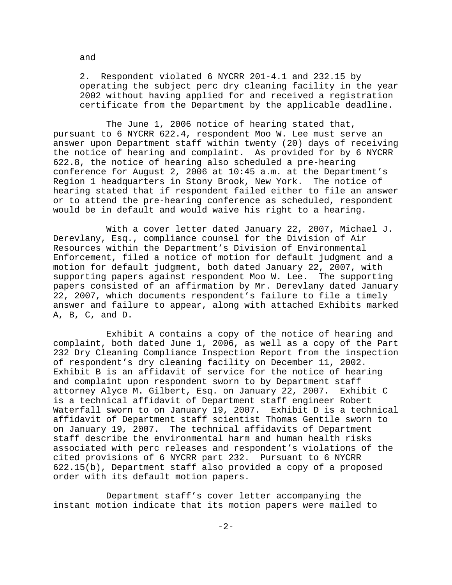2. Respondent violated 6 NYCRR 201-4.1 and 232.15 by operating the subject perc dry cleaning facility in the year 2002 without having applied for and received a registration certificate from the Department by the applicable deadline.

The June 1, 2006 notice of hearing stated that, pursuant to 6 NYCRR 622.4, respondent Moo W. Lee must serve an answer upon Department staff within twenty (20) days of receiving the notice of hearing and complaint. As provided for by 6 NYCRR 622.8, the notice of hearing also scheduled a pre-hearing conference for August 2, 2006 at 10:45 a.m. at the Department's Region 1 headquarters in Stony Brook, New York. The notice of hearing stated that if respondent failed either to file an answer or to attend the pre-hearing conference as scheduled, respondent would be in default and would waive his right to a hearing.

With a cover letter dated January 22, 2007, Michael J. Derevlany, Esq., compliance counsel for the Division of Air Resources within the Department's Division of Environmental Enforcement, filed a notice of motion for default judgment and a motion for default judgment, both dated January 22, 2007, with supporting papers against respondent Moo W. Lee. The supporting papers consisted of an affirmation by Mr. Derevlany dated January 22, 2007, which documents respondent's failure to file a timely answer and failure to appear, along with attached Exhibits marked A, B, C, and D.

Exhibit A contains a copy of the notice of hearing and complaint, both dated June 1, 2006, as well as a copy of the Part 232 Dry Cleaning Compliance Inspection Report from the inspection of respondent's dry cleaning facility on December 11, 2002. Exhibit B is an affidavit of service for the notice of hearing and complaint upon respondent sworn to by Department staff attorney Alyce M. Gilbert, Esq. on January 22, 2007. Exhibit C is a technical affidavit of Department staff engineer Robert Waterfall sworn to on January 19, 2007. Exhibit D is a technical affidavit of Department staff scientist Thomas Gentile sworn to on January 19, 2007. The technical affidavits of Department staff describe the environmental harm and human health risks associated with perc releases and respondent's violations of the cited provisions of 6 NYCRR part 232. Pursuant to 6 NYCRR 622.15(b), Department staff also provided a copy of a proposed order with its default motion papers.

Department staff's cover letter accompanying the instant motion indicate that its motion papers were mailed to

and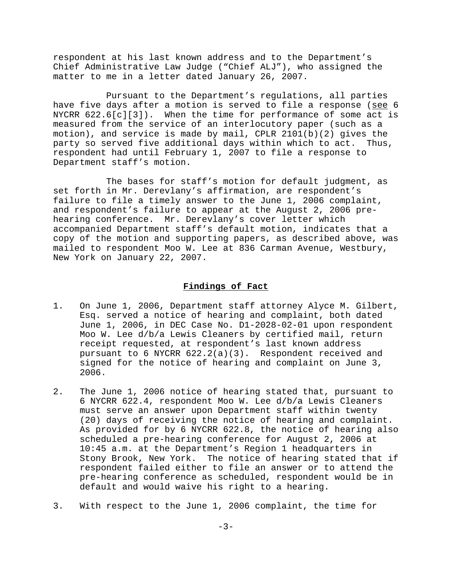respondent at his last known address and to the Department's Chief Administrative Law Judge ("Chief ALJ"), who assigned the matter to me in a letter dated January 26, 2007.

Pursuant to the Department's regulations, all parties have five days after a motion is served to file a response (see 6 NYCRR  $622.6[c][3])$ . When the time for performance of some act is measured from the service of an interlocutory paper (such as a motion), and service is made by mail, CPLR 2101(b)(2) gives the party so served five additional days within which to act. Thus, respondent had until February 1, 2007 to file a response to Department staff's motion.

The bases for staff's motion for default judgment, as set forth in Mr. Derevlany's affirmation, are respondent's failure to file a timely answer to the June 1, 2006 complaint, and respondent's failure to appear at the August 2, 2006 prehearing conference. Mr. Derevlany's cover letter which accompanied Department staff's default motion, indicates that a copy of the motion and supporting papers, as described above, was mailed to respondent Moo W. Lee at 836 Carman Avenue, Westbury, New York on January 22, 2007.

#### **Findings of Fact**

- 1. On June 1, 2006, Department staff attorney Alyce M. Gilbert, Esq. served a notice of hearing and complaint, both dated June 1, 2006, in DEC Case No. D1-2028-02-01 upon respondent Moo W. Lee d/b/a Lewis Cleaners by certified mail, return receipt requested, at respondent's last known address pursuant to 6 NYCRR 622.2(a)(3). Respondent received and signed for the notice of hearing and complaint on June 3, 2006.
- 2. The June 1, 2006 notice of hearing stated that, pursuant to 6 NYCRR 622.4, respondent Moo W. Lee d/b/a Lewis Cleaners must serve an answer upon Department staff within twenty (20) days of receiving the notice of hearing and complaint. As provided for by 6 NYCRR 622.8, the notice of hearing also scheduled a pre-hearing conference for August 2, 2006 at 10:45 a.m. at the Department's Region 1 headquarters in Stony Brook, New York. The notice of hearing stated that if respondent failed either to file an answer or to attend the pre-hearing conference as scheduled, respondent would be in default and would waive his right to a hearing.
- 3. With respect to the June 1, 2006 complaint, the time for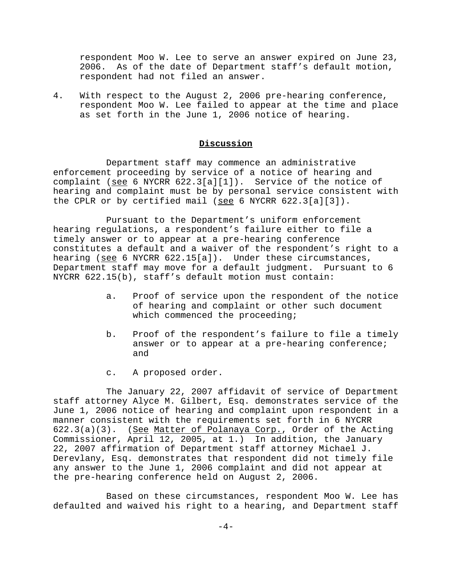respondent Moo W. Lee to serve an answer expired on June 23, 2006. As of the date of Department staff's default motion, respondent had not filed an answer.

4. With respect to the August 2, 2006 pre-hearing conference, respondent Moo W. Lee failed to appear at the time and place as set forth in the June 1, 2006 notice of hearing.

## **Discussion**

Department staff may commence an administrative enforcement proceeding by service of a notice of hearing and complaint (see 6 NYCRR 622.3[a][1]). Service of the notice of hearing and complaint must be by personal service consistent with the CPLR or by certified mail (see 6 NYCRR  $622.3[a][3])$ .

Pursuant to the Department's uniform enforcement hearing regulations, a respondent's failure either to file a timely answer or to appear at a pre-hearing conference constitutes a default and a waiver of the respondent's right to a hearing (see 6 NYCRR 622.15[a]). Under these circumstances, Department staff may move for a default judgment. Pursuant to 6 NYCRR 622.15(b), staff's default motion must contain:

- a. Proof of service upon the respondent of the notice of hearing and complaint or other such document which commenced the proceeding;
- b. Proof of the respondent's failure to file a timely answer or to appear at a pre-hearing conference; and
- c. A proposed order.

The January 22, 2007 affidavit of service of Department staff attorney Alyce M. Gilbert, Esq. demonstrates service of the June 1, 2006 notice of hearing and complaint upon respondent in a manner consistent with the requirements set forth in 6 NYCRR 622.3(a)(3). (See Matter of Polanaya Corp., Order of the Acting Commissioner, April 12, 2005, at 1.) In addition, the January 22, 2007 affirmation of Department staff attorney Michael J. Derevlany, Esq. demonstrates that respondent did not timely file any answer to the June 1, 2006 complaint and did not appear at the pre-hearing conference held on August 2, 2006.

Based on these circumstances, respondent Moo W. Lee has defaulted and waived his right to a hearing, and Department staff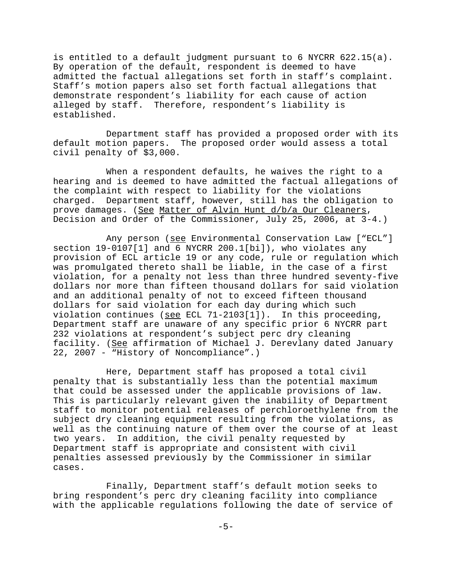is entitled to a default judgment pursuant to 6 NYCRR 622.15(a). By operation of the default, respondent is deemed to have admitted the factual allegations set forth in staff's complaint. Staff's motion papers also set forth factual allegations that demonstrate respondent's liability for each cause of action alleged by staff. Therefore, respondent's liability is established.

Department staff has provided a proposed order with its default motion papers. The proposed order would assess a total civil penalty of \$3,000.

When a respondent defaults, he waives the right to a hearing and is deemed to have admitted the factual allegations of the complaint with respect to liability for the violations charged. Department staff, however, still has the obligation to prove damages. (See Matter of Alvin Hunt d/b/a Our Cleaners, Decision and Order of the Commissioner, July 25, 2006, at 3-4.)

Any person (see Environmental Conservation Law ["ECL"] section 19-0107[1] and 6 NYCRR 200.1[bi]), who violates any provision of ECL article 19 or any code, rule or regulation which was promulgated thereto shall be liable, in the case of a first violation, for a penalty not less than three hundred seventy-five dollars nor more than fifteen thousand dollars for said violation and an additional penalty of not to exceed fifteen thousand dollars for said violation for each day during which such violation continues (see ECL 71-2103[1]). In this proceeding, Department staff are unaware of any specific prior 6 NYCRR part 232 violations at respondent's subject perc dry cleaning facility. (See affirmation of Michael J. Derevlany dated January 22, 2007 - "History of Noncompliance".)

Here, Department staff has proposed a total civil penalty that is substantially less than the potential maximum that could be assessed under the applicable provisions of law. This is particularly relevant given the inability of Department staff to monitor potential releases of perchloroethylene from the subject dry cleaning equipment resulting from the violations, as well as the continuing nature of them over the course of at least two years. In addition, the civil penalty requested by Department staff is appropriate and consistent with civil penalties assessed previously by the Commissioner in similar cases.

Finally, Department staff's default motion seeks to bring respondent's perc dry cleaning facility into compliance with the applicable regulations following the date of service of